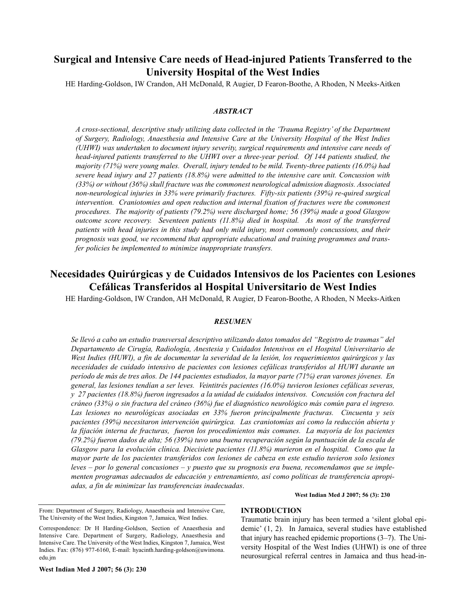# **Surgical and Intensive Care needs of Head-injured Patients Transferred to the University Hospital of the West Indies**

HE Harding-Goldson, IW Crandon, AH McDonald, R Augier, D Fearon-Boothe, A Rhoden, N Meeks-Aitken

## *ABSTRACT*

*A cross-sectional, descriptive study utilizing data collected in the 'Trauma Registry' of the Department of Surgery, Radiology, Anaesthesia and Intensive Care at the University Hospital of the West Indies (UHWI) was undertaken to document injury severity, surgical requirements and intensive care needs of head-injured patients transferred to the UHWI over a three-year period. Of 144 patients studied, the majority (71%) were young males. Overall, injury tended to be mild. Twenty-three patients (16.0%) had severe head injury and 27 patients (18.8%) were admitted to the intensive care unit. Concussion with (33%) or without (36%) skull fracture was the commonest neurological admission diagnosis. Associated non-neurological injuries in 33% were primarily fractures. Fifty-six patients (39%) re-quired surgical intervention. Craniotomies and open reduction and internal fixation of fractures were the commonest procedures. The majority of patients (79.2%) were discharged home; 56 (39%) made a good Glasgow outcome score recovery. Seventeen patients (11.8%) died in hospital. As most of the transferred patients with head injuries in this study had only mild injury, most commonly concussions, and their prognosis was good, we recommend that appropriate educational and training programmes and transfer policies be implemented to minimize inappropriate transfers.* 

## **Necesidades Quirúrgicas y de Cuidados Intensivos de los Pacientes con Lesiones Cefálicas Transferidos al Hospital Universitario de West Indies**

HE Harding-Goldson, IW Crandon, AH McDonald, R Augier, D Fearon-Boothe, A Rhoden, N Meeks-Aitken

## *RESUMEN*

*Se llevó a cabo un estudio transversal descriptivo utilizando datos tomados del "Registro de traumas" del Departamento de Cirugía, Radiología, Anestesia y Cuidados Intensivos en el Hospital Universitario de West Indies (HUWI), a fin de documentar la severidad de la lesión, los requerimientos quirúrgicos y las necesidades de cuidado intensivo de pacientes con lesiones cefálicas transferidos al HUWI durante un período de más de tres años. De 144 pacientes estudiados, la mayor parte (71%) eran varones jóvenes. En general, las lesiones tendían a ser leves. Veintitrés pacientes (16.0%) tuvieron lesiones cefálicas severas, y 27 pacientes (18.8%) fueron ingresados a la unidad de cuidados intensivos. Concusión con fractura del cráneo (33%) o sin fractura del cráneo (36%) fue el diagnóstico neurológico más común para el ingreso. Las lesiones no neurológicas asociadas en 33% fueron principalmente fracturas. Cincuenta y seis pacientes (39%) necesitaron intervención quirúrgica. Las craniotomías así como la reducción abierta y la fijación interna de fracturas, fueron los procedimientos más comunes. La mayoría de los pacientes (79.2%) fueron dados de alta; 56 (39%) tuvo una buena recuperación según la puntuación de la escala de Glasgow para la evolución clínica. Diecisiete pacientes (11.8%) murieron en el hospital. Como que la mayor parte de los pacientes transferidos con lesiones de cabeza en este estudio tuvieron solo lesiones leves – por lo general concusiones – y puesto que su prognosis era buena, recomendamos que se implementen programas adecuados de educación y entrenamiento, así como políticas de transferencia apropiadas, a fin de minimizar las transferencias inadecuadas*.

## **INTRODUCTION**

Traumatic brain injury has been termed a 'silent global epidemic' (1, 2). In Jamaica, several studies have established that injury has reached epidemic proportions (3–7). The University Hospital of the West Indies (UHWI) is one of three neurosurgical referral centres in Jamaica and thus head-in-

**West Indian Med J 2007; 56 (3): 230**

From: Department of Surgery, Radiology, Anaesthesia and Intensive Care, The University of the West Indies, Kingston 7, Jamaica, West Indies.

Correspondence: Dr H Harding-Goldson, Section of Anaesthesia and Intensive Care. Department of Surgery, Radiology, Anaesthesia and Intensive Care. The University of the West Indies, Kingston 7, Jamaica, West Indies. Fax: (876) 977-6160, E-mail: hyacinth.harding-goldson@uwimona. edu.jm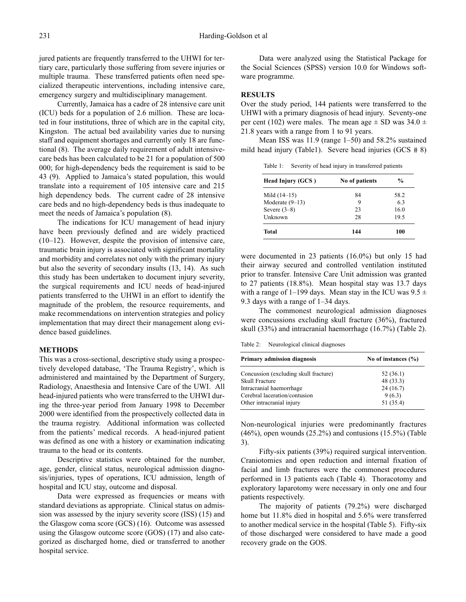jured patients are frequently transferred to the UHWI for tertiary care, particularly those suffering from severe injuries or multiple trauma. These transferred patients often need specialized therapeutic interventions, including intensive care, emergency surgery and multidisciplinary management.

Currently, Jamaica has a cadre of 28 intensive care unit (ICU) beds for a population of 2.6 million. These are located in four institutions, three of which are in the capital city, Kingston. The actual bed availability varies due to nursing staff and equipment shortages and currently only 18 are functional (8). The average daily requirement of adult intensivecare beds has been calculated to be 21 for a population of 500 000; for high-dependency beds the requirement is said to be 43 (9). Applied to Jamaica's stated population, this would translate into a requirement of 105 intensive care and 215 high dependency beds. The current cadre of 28 intensive care beds and no high-dependency beds is thus inadequate to meet the needs of Jamaica's population (8).

The indications for ICU management of head injury have been previously defined and are widely practiced (10–12). However, despite the provision of intensive care, traumatic brain injury is associated with significant mortality and morbidity and correlates not only with the primary injury but also the severity of secondary insults (13, 14). As such this study has been undertaken to document injury severity, the surgical requirements and ICU needs of head-injured patients transferred to the UHWI in an effort to identify the magnitude of the problem, the resource requirements, and make recommendations on intervention strategies and policy implementation that may direct their management along evidence based guidelines.

#### **METHODS**

This was a cross-sectional, descriptive study using a prospectively developed database, 'The Trauma Registry', which is administered and maintained by the Department of Surgery, Radiology, Anaesthesia and Intensive Care of the UWI. All head-injured patients who were transferred to the UHWI during the three-year period from January 1998 to December 2000 were identified from the prospectively collected data in the trauma registry. Additional information was collected from the patients' medical records. A head-injured patient was defined as one with a history or examination indicating trauma to the head or its contents.

Descriptive statistics were obtained for the number, age, gender, clinical status, neurological admission diagnosis/injuries, types of operations, ICU admission, length of hospital and ICU stay, outcome and disposal.

Data were expressed as frequencies or means with standard deviations as appropriate. Clinical status on admission was assessed by the injury severity score (ISS) (15) and the Glasgow coma score (GCS) (16). Outcome was assessed using the Glasgow outcome score (GOS) (17) and also categorized as discharged home, died or transferred to another hospital service.

Data were analyzed using the Statistical Package for the Social Sciences (SPSS) version 10.0 for Windows software programme.

### **RESULTS**

Over the study period, 144 patients were transferred to the UHWI with a primary diagnosis of head injury. Seventy-one per cent (102) were males. The mean age  $\pm$  SD was 34.0  $\pm$ 21.8 years with a range from 1 to 91 years.

Mean ISS was 11.9 (range 1–50) and 58.2% sustained mild head injury (Table1). Severe head injuries (GCS # 8)

| Head Injury (GCS) | No of patients | $\frac{0}{0}$ |
|-------------------|----------------|---------------|
| Mild $(14-15)$    | 84             | 58.2          |
| Moderate $(9-13)$ | 9              | 63            |
| Severe $(3-8)$    | 23             | 16.0          |
| Unknown           | 28             | 19.5          |
| Total             | 144            | 100           |

were documented in 23 patients (16.0%) but only 15 had their airway secured and controlled ventilation instituted prior to transfer. Intensive Care Unit admission was granted to 27 patients (18.8%). Mean hospital stay was 13.7 days with a range of 1–199 days. Mean stay in the ICU was  $9.5 \pm$ 9.3 days with a range of 1–34 days.

The commonest neurological admission diagnoses were concussions excluding skull fracture (36%), fractured skull (33%) and intracranial haemorrhage (16.7%) (Table 2).

Table 2: Neurological clinical diagnoses

| <b>Primary admission diagnosis</b>    | No of instances $(\% )$ |  |  |
|---------------------------------------|-------------------------|--|--|
| Concussion (excluding skull fracture) | 52 (36.1)               |  |  |
| <b>Skull Fracture</b>                 | 48 (33.3)               |  |  |
| Intracranial haemorrhage              | 24(16.7)                |  |  |
| Cerebral laceration/contusion         | 9(6.3)                  |  |  |
| Other intracranial injury             | 51 (35.4)               |  |  |

Non-neurological injuries were predominantly fractures  $(46\%)$ , open wounds  $(25.2\%)$  and contusions  $(15.5\%)$  (Table 3).

Fifty-six patients (39%) required surgical intervention. Craniotomies and open reduction and internal fixation of facial and limb fractures were the commonest procedures performed in 13 patients each (Table 4). Thoracotomy and exploratory laparotomy were necessary in only one and four patients respectively.

The majority of patients (79.2%) were discharged home but 11.8% died in hospital and 5.6% were transferred to another medical service in the hospital (Table 5). Fifty-six of those discharged were considered to have made a good recovery grade on the GOS.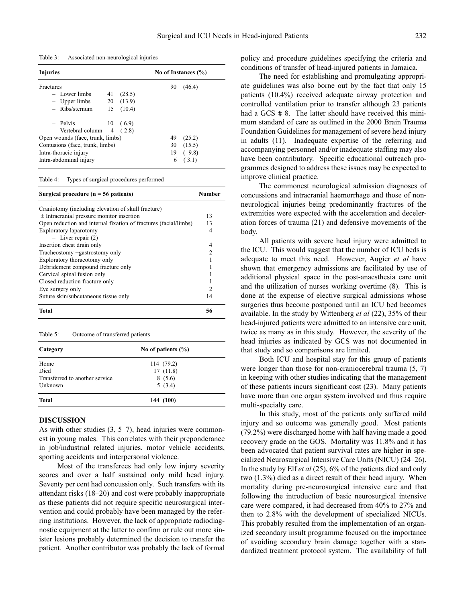Table 3: Associated non-neurological injuries

| Injuries                         |    | No of Instances (%) |    |        |
|----------------------------------|----|---------------------|----|--------|
| Fractures                        |    |                     | 90 | (46.4) |
| - Lower limbs                    | 41 | (28.5)              |    |        |
| $-$ Upper limbs                  |    | 20(13.9)            |    |        |
| $-$ Ribs/sternum                 | 15 | (10.4)              |    |        |
| - Pelvis                         | 10 | (6.9)               |    |        |
| - Vertebral column               |    | 4(2.8)              |    |        |
| Open wounds (face, trunk, limbs) |    |                     | 49 | (25.2) |
| Contusions (face, trunk, limbs)  |    |                     | 30 | (15.5) |
| Intra-thoracic injury            |    |                     | 19 | (9.8)  |
| Intra-abdominal injury           |    |                     | 6  | (3.1)  |

Table 4: Types of surgical procedures performed

#### Surgical procedure (n = 56 patients) Number

| Craniotomy (including elevation of skull fracture)               |    |  |
|------------------------------------------------------------------|----|--|
| $\pm$ Intracranial pressure monitor insertion                    | 13 |  |
| Open reduction and internal fixation of fractures (facial/limbs) | 13 |  |
| Exploratory laparotomy                                           | 4  |  |
| $-$ Liver repair $(2)$                                           |    |  |
| Insertion chest drain only                                       | 4  |  |
| Tracheostomy +gastrostomy only                                   | っ  |  |
| Exploratory thoracotomy only                                     |    |  |
| Debridement compound fracture only                               |    |  |
| Cervical spinal fusion only                                      |    |  |
| Closed reduction fracture only                                   |    |  |
| Eye surgery only                                                 | 2  |  |
| Suture skin/subcutaneous tissue only                             | 14 |  |
| Total                                                            | 56 |  |

#### Table 5: Outcome of transferred patients

| Category                       | No of patients $(\% )$ |  |  |
|--------------------------------|------------------------|--|--|
| Home                           | 114 (79.2)             |  |  |
| Died                           | 17(11.8)               |  |  |
| Transferred to another service | 8(5.6)                 |  |  |
| Unknown                        | 5(3.4)                 |  |  |
| <b>Total</b>                   | 144 (100)              |  |  |

#### **DISCUSSION**

As with other studies  $(3, 5-7)$ , head injuries were commonest in young males. This correlates with their preponderance in job/industrial related injuries, motor vehicle accidents, sporting accidents and interpersonal violence.

Most of the transferees had only low injury severity scores and over a half sustained only mild head injury. Seventy per cent had concussion only. Such transfers with its attendant risks (18–20) and cost were probably inappropriate as these patients did not require specific neurosurgical intervention and could probably have been managed by the referring institutions. However, the lack of appropriate radiodiagnostic equipment at the latter to confirm or rule out more sinister lesions probably determined the decision to transfer the patient. Another contributor was probably the lack of formal policy and procedure guidelines specifying the criteria and conditions of transfer of head-injured patients in Jamaica.

The need for establishing and promulgating appropriate guidelines was also borne out by the fact that only 15 patients (10.4%) received adequate airway protection and controlled ventilation prior to transfer although 23 patients had a GCS  $\# 8$ . The latter should have received this minimum standard of care as outlined in the 2000 Brain Trauma Foundation Guidelines for management of severe head injury in adults (11). Inadequate expertise of the referring and accompanying personnel and/or inadequate staffing may also have been contributory. Specific educational outreach programmes designed to address these issues may be expected to improve clinical practice.

The commonest neurological admission diagnoses of concussions and intracranial haemorrhage and those of nonneurological injuries being predominantly fractures of the extremities were expected with the acceleration and deceleration forces of trauma (21) and defensive movements of the body.

All patients with severe head injury were admitted to the ICU. This would suggest that the number of ICU beds is adequate to meet this need. However, Augier *et al* have shown that emergency admissions are facilitated by use of additional physical space in the post-anaesthesia care unit and the utilization of nurses working overtime (8). This is done at the expense of elective surgical admissions whose surgeries thus become postponed until an ICU bed becomes available. In the study by Wittenberg *et al* (22), 35% of their head-injured patients were admitted to an intensive care unit, twice as many as in this study. However, the severity of the head injuries as indicated by GCS was not documented in that study and so comparisons are limited.

Both ICU and hospital stay for this group of patients were longer than those for non-craniocerebral trauma (5, 7) in keeping with other studies indicating that the management of these patients incurs significant cost (23). Many patients have more than one organ system involved and thus require multi-specialty care.

In this study, most of the patients only suffered mild injury and so outcome was generally good. Most patients (79.2%) were discharged home with half having made a good recovery grade on the GOS. Mortality was 11.8% and it has been advocated that patient survival rates are higher in specialized Neurosurgical Intensive Care Units (NICU) (24–26). In the study by Elf *et al* (25), 6% of the patients died and only two (1.3%) died as a direct result of their head injury. When mortality during pre-neurosurgical intensive care and that following the introduction of basic neurosurgical intensive care were compared, it had decreased from 40% to 27% and then to 2.8% with the development of specialized NICUs. This probably resulted from the implementation of an organized secondary insult programme focused on the importance of avoiding secondary brain damage together with a standardized treatment protocol system. The availability of full